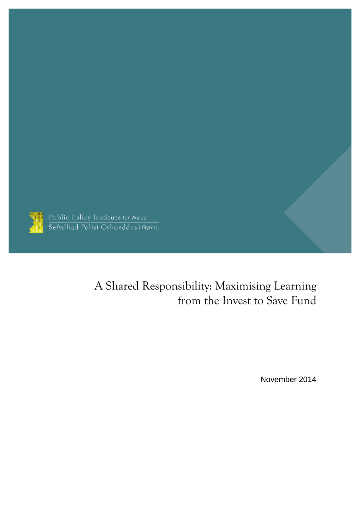

Public Policy Institute for Wales<br>Sefydliad Polisi Cyhoeddus i Gymru

# A Shared Responsibility: Maximising Learning from the Invest to Save Fund

November 2014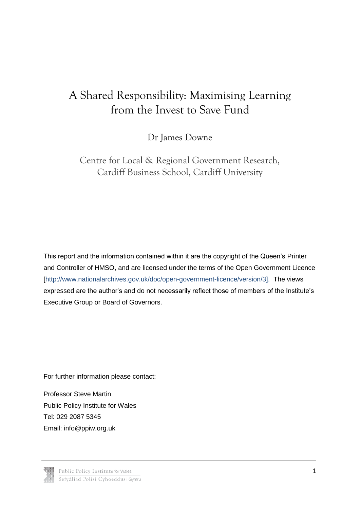# A Shared Responsibility: Maximising Learning from the Invest to Save Fund

Dr James Downe

Centre for Local & Regional Government Research, Cardiff Business School, Cardiff University

This report and the information contained within it are the copyright of the Queen's Printer and Controller of HMSO, and are licensed under the terms of the Open Government Licence [\[http://www.nationalarchives.gov.uk/doc/open-government-licence/version/3\]](http://www.nationalarchives.gov.uk/doc/open-government-licence/version/3). The views expressed are the author's and do not necessarily reflect those of members of the Institute's Executive Group or Board of Governors.

For further information please contact:

Professor Steve Martin Public Policy Institute for Wales Tel: 029 2087 5345 Email: [info@ppiw.org.uk](mailto:info@ppiw.org.uk)

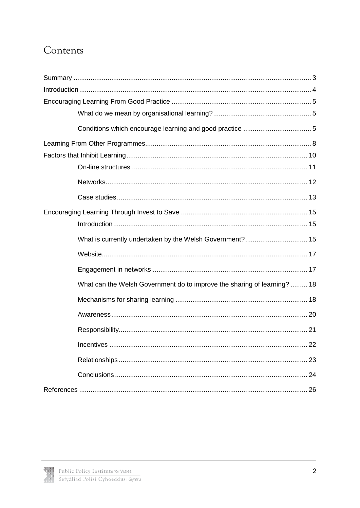## Contents

| What is currently undertaken by the Welsh Government? 15                 |  |
|--------------------------------------------------------------------------|--|
|                                                                          |  |
|                                                                          |  |
| What can the Welsh Government do to improve the sharing of learning?  18 |  |
|                                                                          |  |
|                                                                          |  |
|                                                                          |  |
|                                                                          |  |
|                                                                          |  |
|                                                                          |  |
|                                                                          |  |

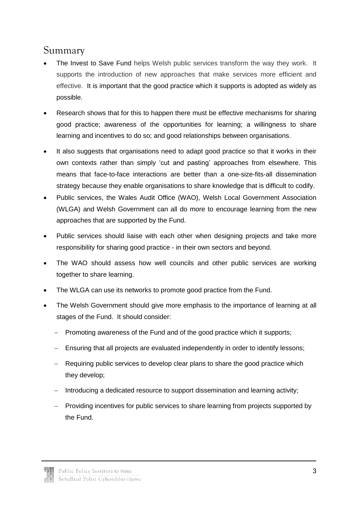### <span id="page-3-0"></span>Summary

- The Invest to Save Fund helps Welsh public services transform the way they work. It supports the introduction of new approaches that make services more efficient and effective. It is important that the good practice which it supports is adopted as widely as possible.
- Research shows that for this to happen there must be effective mechanisms for sharing good practice; awareness of the opportunities for learning; a willingness to share learning and incentives to do so; and good relationships between organisations.
- It also suggests that organisations need to adapt good practice so that it works in their own contexts rather than simply 'cut and pasting' approaches from elsewhere. This means that face-to-face interactions are better than a one-size-fits-all dissemination strategy because they enable organisations to share knowledge that is difficult to codify.
- Public services, the Wales Audit Office (WAO), Welsh Local Government Association (WLGA) and Welsh Government can all do more to encourage learning from the new approaches that are supported by the Fund.
- Public services should liaise with each other when designing projects and take more responsibility for sharing good practice - in their own sectors and beyond.
- The WAO should assess how well councils and other public services are working together to share learning.
- The WLGA can use its networks to promote good practice from the Fund.
- The Welsh Government should give more emphasis to the importance of learning at all stages of the Fund. It should consider:
	- Promoting awareness of the Fund and of the good practice which it supports;
	- Ensuring that all projects are evaluated independently in order to identify lessons;
	- Requiring public services to develop clear plans to share the good practice which they develop;
	- Introducing a dedicated resource to support dissemination and learning activity;
	- Providing incentives for public services to share learning from projects supported by the Fund.

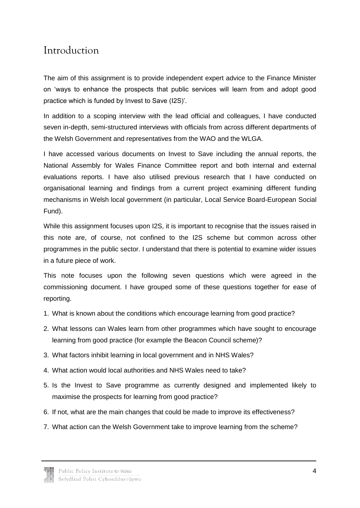### <span id="page-4-0"></span>Introduction

The aim of this assignment is to provide independent expert advice to the Finance Minister on 'ways to enhance the prospects that public services will learn from and adopt good practice which is funded by Invest to Save (I2S)'.

In addition to a scoping interview with the lead official and colleagues, I have conducted seven in-depth, semi-structured interviews with officials from across different departments of the Welsh Government and representatives from the WAO and the WLGA.

I have accessed various documents on Invest to Save including the annual reports, the National Assembly for Wales Finance Committee report and both internal and external evaluations reports. I have also utilised previous research that I have conducted on organisational learning and findings from a current project examining different funding mechanisms in Welsh local government (in particular, Local Service Board-European Social Fund).

While this assignment focuses upon I2S, it is important to recognise that the issues raised in this note are, of course, not confined to the I2S scheme but common across other programmes in the public sector. I understand that there is potential to examine wider issues in a future piece of work.

This note focuses upon the following seven questions which were agreed in the commissioning document. I have grouped some of these questions together for ease of reporting.

- 1. What is known about the conditions which encourage learning from good practice?
- 2. What lessons can Wales learn from other programmes which have sought to encourage learning from good practice (for example the Beacon Council scheme)?
- 3. What factors inhibit learning in local government and in NHS Wales?
- 4. What action would local authorities and NHS Wales need to take?
- 5. Is the Invest to Save programme as currently designed and implemented likely to maximise the prospects for learning from good practice?
- 6. If not, what are the main changes that could be made to improve its effectiveness?
- 7. What action can the Welsh Government take to improve learning from the scheme?

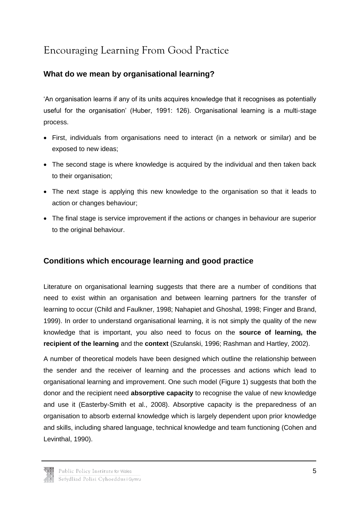# <span id="page-5-0"></span>Encouraging Learning From Good Practice

#### <span id="page-5-1"></span>**What do we mean by organisational learning?**

'An organisation learns if any of its units acquires knowledge that it recognises as potentially useful for the organisation' (Huber, 1991: 126). Organisational learning is a multi-stage process.

- First, individuals from organisations need to interact (in a network or similar) and be exposed to new ideas;
- The second stage is where knowledge is acquired by the individual and then taken back to their organisation:
- The next stage is applying this new knowledge to the organisation so that it leads to action or changes behaviour;
- The final stage is service improvement if the actions or changes in behaviour are superior to the original behaviour.

#### <span id="page-5-2"></span>**Conditions which encourage learning and good practice**

Literature on organisational learning suggests that there are a number of conditions that need to exist within an organisation and between learning partners for the transfer of learning to occur (Child and Faulkner, 1998; Nahapiet and Ghoshal, 1998; Finger and Brand, 1999). In order to understand organisational learning, it is not simply the quality of the new knowledge that is important, you also need to focus on the **source of learning, the recipient of the learning** and the **context** (Szulanski, 1996; Rashman and Hartley, 2002).

A number of theoretical models have been designed which outline the relationship between the sender and the receiver of learning and the processes and actions which lead to organisational learning and improvement. One such model (Figure 1) suggests that both the donor and the recipient need **absorptive capacity** to recognise the value of new knowledge and use it (Easterby-Smith et al., 2008). Absorptive capacity is the preparedness of an organisation to absorb external knowledge which is largely dependent upon prior knowledge and skills, including shared language, technical knowledge and team functioning (Cohen and Levinthal, 1990).

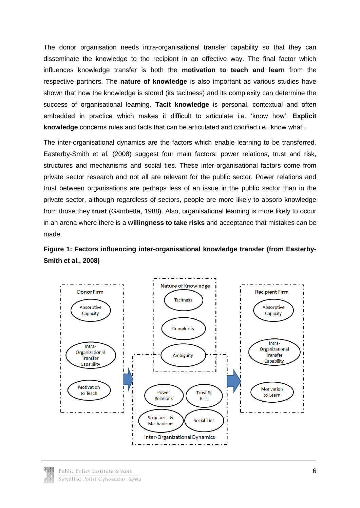The donor organisation needs intra-organisational transfer capability so that they can disseminate the knowledge to the recipient in an effective way. The final factor which influences knowledge transfer is both the **motivation to teach and learn** from the respective partners. The **nature of knowledge** is also important as various studies have shown that how the knowledge is stored (its tacitness) and its complexity can determine the success of organisational learning. **Tacit knowledge** is personal, contextual and often embedded in practice which makes it difficult to articulate i.e. 'know how'. **Explicit knowledge** concerns rules and facts that can be articulated and codified i.e. 'know what'.

The inter-organisational dynamics are the factors which enable learning to be transferred. Easterby-Smith et al. (2008) suggest four main factors: power relations, trust and risk, structures and mechanisms and social ties. These inter-organisational factors come from private sector research and not all are relevant for the public sector. Power relations and trust between organisations are perhaps less of an issue in the public sector than in the private sector, although regardless of sectors, people are more likely to absorb knowledge from those they **trust** (Gambetta, 1988). Also, organisational learning is more likely to occur in an arena where there is a **willingness to take risks** and acceptance that mistakes can be made.





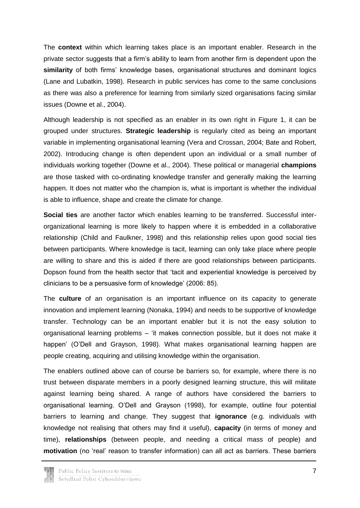The **context** within which learning takes place is an important enabler. Research in the private sector suggests that a firm's ability to learn from another firm is dependent upon the **similarity** of both firms' knowledge bases, organisational structures and dominant logics (Lane and Lubatkin, 1998). Research in public services has come to the same conclusions as there was also a preference for learning from similarly sized organisations facing similar issues (Downe et al., 2004).

Although leadership is not specified as an enabler in its own right in Figure 1, it can be grouped under structures. **Strategic leadership** is regularly cited as being an important variable in implementing organisational learning (Vera and Crossan, 2004; Bate and Robert, 2002). Introducing change is often dependent upon an individual or a small number of individuals working together (Downe et al., 2004). These political or managerial **champions** are those tasked with co-ordinating knowledge transfer and generally making the learning happen. It does not matter who the champion is, what is important is whether the individual is able to influence, shape and create the climate for change.

**Social ties** are another factor which enables learning to be transferred. Successful interorganizational learning is more likely to happen where it is embedded in a collaborative relationship (Child and Faulkner, 1998) and this relationship relies upon good social ties between participants. Where knowledge is tacit, learning can only take place where people are willing to share and this is aided if there are good relationships between participants. Dopson found from the health sector that 'tacit and experiential knowledge is perceived by clinicians to be a persuasive form of knowledge' (2006: 85).

The **culture** of an organisation is an important influence on its capacity to generate innovation and implement learning (Nonaka, 1994) and needs to be supportive of knowledge transfer. Technology can be an important enabler but it is not the easy solution to organisational learning problems – 'it makes connection possible, but it does not make it happen' (O'Dell and Grayson, 1998). What makes organisational learning happen are people creating, acquiring and utilising knowledge within the organisation.

The enablers outlined above can of course be barriers so, for example, where there is no trust between disparate members in a poorly designed learning structure, this will militate against learning being shared. A range of authors have considered the barriers to organisational learning. O'Dell and Grayson (1998), for example, outline four potential barriers to learning and change. They suggest that **ignorance** (e.g. individuals with knowledge not realising that others may find it useful), **capacity** (in terms of money and time), **relationships** (between people, and needing a critical mass of people) and **motivation** (no 'real' reason to transfer information) can all act as barriers. These barriers

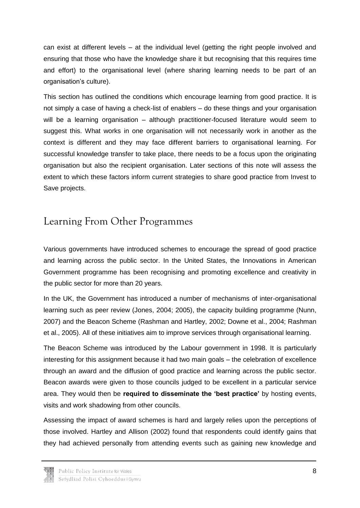can exist at different levels – at the individual level (getting the right people involved and ensuring that those who have the knowledge share it but recognising that this requires time and effort) to the organisational level (where sharing learning needs to be part of an organisation's culture).

This section has outlined the conditions which encourage learning from good practice. It is not simply a case of having a check-list of enablers – do these things and your organisation will be a learning organisation – although practitioner-focused literature would seem to suggest this. What works in one organisation will not necessarily work in another as the context is different and they may face different barriers to organisational learning. For successful knowledge transfer to take place, there needs to be a focus upon the originating organisation but also the recipient organisation. Later sections of this note will assess the extent to which these factors inform current strategies to share good practice from Invest to Save projects.

## <span id="page-8-0"></span>Learning From Other Programmes

Various governments have introduced schemes to encourage the spread of good practice and learning across the public sector. In the United States, the Innovations in American Government programme has been recognising and promoting excellence and creativity in the public sector for more than 20 years.

In the UK, the Government has introduced a number of mechanisms of inter-organisational learning such as peer review (Jones, 2004; 2005), the capacity building programme (Nunn, 2007) and the Beacon Scheme (Rashman and Hartley, 2002; Downe et al., 2004; Rashman et al., 2005). All of these initiatives aim to improve services through organisational learning.

The Beacon Scheme was introduced by the Labour government in 1998. It is particularly interesting for this assignment because it had two main goals – the celebration of excellence through an award and the diffusion of good practice and learning across the public sector. Beacon awards were given to those councils judged to be excellent in a particular service area. They would then be **required to disseminate the 'best practice'** by hosting events, visits and work shadowing from other councils.

Assessing the impact of award schemes is hard and largely relies upon the perceptions of those involved. Hartley and Allison (2002) found that respondents could identify gains that they had achieved personally from attending events such as gaining new knowledge and

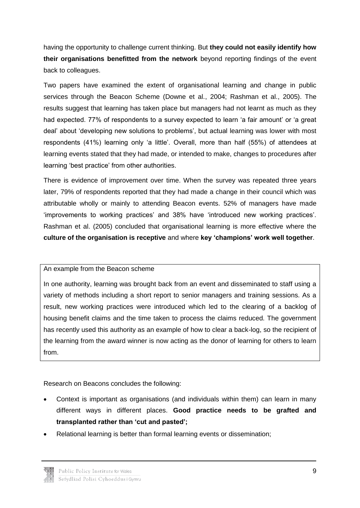having the opportunity to challenge current thinking. But **they could not easily identify how their organisations benefitted from the network** beyond reporting findings of the event back to colleagues.

Two papers have examined the extent of organisational learning and change in public services through the Beacon Scheme (Downe et al., 2004; Rashman et al., 2005). The results suggest that learning has taken place but managers had not learnt as much as they had expected. 77% of respondents to a survey expected to learn 'a fair amount' or 'a great deal' about 'developing new solutions to problems', but actual learning was lower with most respondents (41%) learning only 'a little'. Overall, more than half (55%) of attendees at learning events stated that they had made, or intended to make, changes to procedures after learning 'best practice' from other authorities.

There is evidence of improvement over time. When the survey was repeated three years later, 79% of respondents reported that they had made a change in their council which was attributable wholly or mainly to attending Beacon events. 52% of managers have made 'improvements to working practices' and 38% have 'introduced new working practices'. Rashman et al. (2005) concluded that organisational learning is more effective where the **culture of the organisation is receptive** and where **key 'champions' work well together**.

#### An example from the Beacon scheme

In one authority, learning was brought back from an event and disseminated to staff using a variety of methods including a short report to senior managers and training sessions. As a result, new working practices were introduced which led to the clearing of a backlog of housing benefit claims and the time taken to process the claims reduced. The government has recently used this authority as an example of how to clear a back-log, so the recipient of the learning from the award winner is now acting as the donor of learning for others to learn from.

Research on Beacons concludes the following:

- Context is important as organisations (and individuals within them) can learn in many different ways in different places. **Good practice needs to be grafted and transplanted rather than 'cut and pasted';**
- Relational learning is better than formal learning events or dissemination;

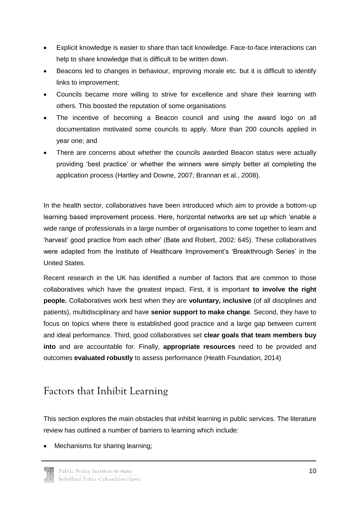- Explicit knowledge is easier to share than tacit knowledge. Face-to-face interactions can help to share knowledge that is difficult to be written down.
- Beacons led to changes in behaviour, improving morale etc. but it is difficult to identify links to improvement;
- Councils became more willing to strive for excellence and share their learning with others. This boosted the reputation of some organisations
- The incentive of becoming a Beacon council and using the award logo on all documentation motivated some councils to apply. More than 200 councils applied in year one; and
- There are concerns about whether the councils awarded Beacon status were actually providing 'best practice' or whether the winners were simply better at completing the application process (Hartley and Downe, 2007; Brannan et al., 2008).

In the health sector, collaboratives have been introduced which aim to provide a bottom-up learning based improvement process. Here, horizontal networks are set up which 'enable a wide range of professionals in a large number of organisations to come together to learn and 'harvest' good practice from each other' (Bate and Robert, 2002: 645). These collaboratives were adapted from the Institute of Healthcare Improvement's 'Breakthrough Series' in the United States.

Recent research in the UK has identified a number of factors that are common to those collaboratives which have the greatest impact. First, it is important **to involve the right people.** Collaboratives work best when they are **voluntary, inclusive** (of all disciplines and patients), multidisciplinary and have **senior support to make change**. Second, they have to focus on topics where there is established good practice and a large gap between current and ideal performance. Third, good collaboratives set **clear goals that team members buy into** and are accountable for. Finally, **appropriate resources** need to be provided and outcomes **evaluated robustly** to assess performance (Health Foundation, 2014)

## <span id="page-10-0"></span>Factors that Inhibit Learning

This section explores the main obstacles that inhibit learning in public services. The literature review has outlined a number of barriers to learning which include:

Mechanisms for sharing learning;

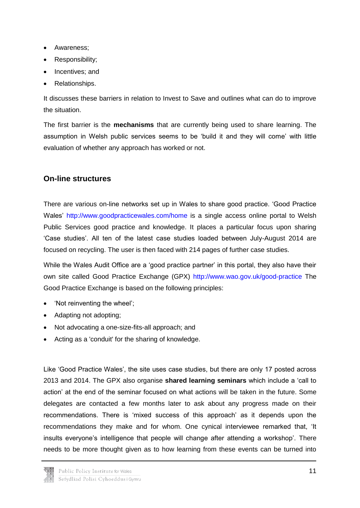- Awareness;
- Responsibility;
- Incentives: and
- Relationships.

It discusses these barriers in relation to Invest to Save and outlines what can do to improve the situation.

The first barrier is the **mechanisms** that are currently being used to share learning. The assumption in Welsh public services seems to be 'build it and they will come' with little evaluation of whether any approach has worked or not.

#### <span id="page-11-0"></span>**On-line structures**

There are various on-line networks set up in Wales to share good practice. 'Good Practice Wales'<http://www.goodpracticewales.com/home> is a single access online portal to Welsh Public Services good practice and knowledge. It places a particular focus upon sharing 'Case studies'. All ten of the latest case studies loaded between July-August 2014 are focused on recycling. The user is then faced with 214 pages of further case studies.

While the Wales Audit Office are a 'good practice partner' in this portal, they also have their own site called Good Practice Exchange (GPX)<http://www.wao.gov.uk/good-practice> The Good Practice Exchange is based on the following principles:

- 'Not reinventing the wheel';
- Adapting not adopting;
- Not advocating a one-size-fits-all approach; and
- Acting as a 'conduit' for the sharing of knowledge.

Like 'Good Practice Wales', the site uses case studies, but there are only 17 posted across 2013 and 2014. The GPX also organise **shared learning seminars** which include a 'call to action' at the end of the seminar focused on what actions will be taken in the future. Some delegates are contacted a few months later to ask about any progress made on their recommendations. There is 'mixed success of this approach' as it depends upon the recommendations they make and for whom. One cynical interviewee remarked that, 'It insults everyone's intelligence that people will change after attending a workshop'. There needs to be more thought given as to how learning from these events can be turned into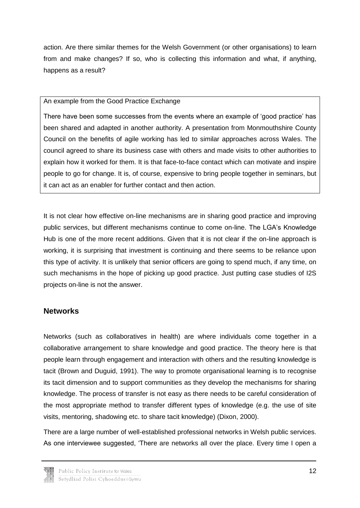action. Are there similar themes for the Welsh Government (or other organisations) to learn from and make changes? If so, who is collecting this information and what, if anything, happens as a result?

#### An example from the Good Practice Exchange

There have been some successes from the events where an example of 'good practice' has been shared and adapted in another authority. A presentation from Monmouthshire County Council on the benefits of agile working has led to similar approaches across Wales. The council agreed to share its business case with others and made visits to other authorities to explain how it worked for them. It is that face-to-face contact which can motivate and inspire people to go for change. It is, of course, expensive to bring people together in seminars, but it can act as an enabler for further contact and then action.

It is not clear how effective on-line mechanisms are in sharing good practice and improving public services, but different mechanisms continue to come on-line. The LGA's Knowledge Hub is one of the more recent additions. Given that it is not clear if the on-line approach is working, it is surprising that investment is continuing and there seems to be reliance upon this type of activity. It is unlikely that senior officers are going to spend much, if any time, on such mechanisms in the hope of picking up good practice. Just putting case studies of I2S projects on-line is not the answer.

#### <span id="page-12-0"></span>**Networks**

Networks (such as collaboratives in health) are where individuals come together in a collaborative arrangement to share knowledge and good practice. The theory here is that people learn through engagement and interaction with others and the resulting knowledge is tacit (Brown and Duguid, 1991). The way to promote organisational learning is to recognise its tacit dimension and to support communities as they develop the mechanisms for sharing knowledge. The process of transfer is not easy as there needs to be careful consideration of the most appropriate method to transfer different types of knowledge (e.g. the use of site visits, mentoring, shadowing etc. to share tacit knowledge) (Dixon, 2000).

There are a large number of well-established professional networks in Welsh public services. As one interviewee suggested, 'There are networks all over the place. Every time I open a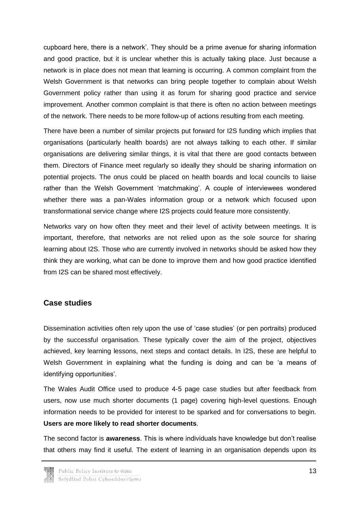cupboard here, there is a network'. They should be a prime avenue for sharing information and good practice, but it is unclear whether this is actually taking place. Just because a network is in place does not mean that learning is occurring. A common complaint from the Welsh Government is that networks can bring people together to complain about Welsh Government policy rather than using it as forum for sharing good practice and service improvement. Another common complaint is that there is often no action between meetings of the network. There needs to be more follow-up of actions resulting from each meeting.

There have been a number of similar projects put forward for I2S funding which implies that organisations (particularly health boards) are not always talking to each other. If similar organisations are delivering similar things, it is vital that there are good contacts between them. Directors of Finance meet regularly so ideally they should be sharing information on potential projects. The onus could be placed on health boards and local councils to liaise rather than the Welsh Government 'matchmaking'. A couple of interviewees wondered whether there was a pan-Wales information group or a network which focused upon transformational service change where I2S projects could feature more consistently.

Networks vary on how often they meet and their level of activity between meetings. It is important, therefore, that networks are not relied upon as the sole source for sharing learning about I2S. Those who are currently involved in networks should be asked how they think they are working, what can be done to improve them and how good practice identified from I2S can be shared most effectively.

#### <span id="page-13-0"></span>**Case studies**

Dissemination activities often rely upon the use of 'case studies' (or pen portraits) produced by the successful organisation. These typically cover the aim of the project, objectives achieved, key learning lessons, next steps and contact details. In I2S, these are helpful to Welsh Government in explaining what the funding is doing and can be 'a means of identifying opportunities'.

The Wales Audit Office used to produce 4-5 page case studies but after feedback from users, now use much shorter documents (1 page) covering high-level questions. Enough information needs to be provided for interest to be sparked and for conversations to begin. **Users are more likely to read shorter documents**.

The second factor is **awareness**. This is where individuals have knowledge but don't realise that others may find it useful. The extent of learning in an organisation depends upon its

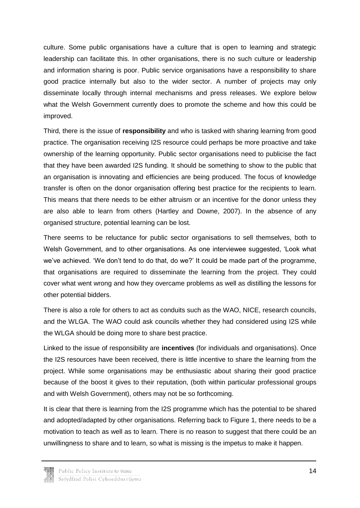culture. Some public organisations have a culture that is open to learning and strategic leadership can facilitate this. In other organisations, there is no such culture or leadership and information sharing is poor. Public service organisations have a responsibility to share good practice internally but also to the wider sector. A number of projects may only disseminate locally through internal mechanisms and press releases. We explore below what the Welsh Government currently does to promote the scheme and how this could be improved.

Third, there is the issue of **responsibility** and who is tasked with sharing learning from good practice. The organisation receiving I2S resource could perhaps be more proactive and take ownership of the learning opportunity. Public sector organisations need to publicise the fact that they have been awarded I2S funding. It should be something to show to the public that an organisation is innovating and efficiencies are being produced. The focus of knowledge transfer is often on the donor organisation offering best practice for the recipients to learn. This means that there needs to be either altruism or an incentive for the donor unless they are also able to learn from others (Hartley and Downe, 2007). In the absence of any organised structure, potential learning can be lost.

There seems to be reluctance for public sector organisations to sell themselves, both to Welsh Government, and to other organisations. As one interviewee suggested, 'Look what we've achieved. 'We don't tend to do that, do we?' It could be made part of the programme, that organisations are required to disseminate the learning from the project. They could cover what went wrong and how they overcame problems as well as distilling the lessons for other potential bidders.

There is also a role for others to act as conduits such as the WAO, NICE, research councils, and the WLGA. The WAO could ask councils whether they had considered using I2S while the WLGA should be doing more to share best practice.

Linked to the issue of responsibility are **incentives** (for individuals and organisations). Once the I2S resources have been received, there is little incentive to share the learning from the project. While some organisations may be enthusiastic about sharing their good practice because of the boost it gives to their reputation, (both within particular professional groups and with Welsh Government), others may not be so forthcoming.

It is clear that there is learning from the I2S programme which has the potential to be shared and adopted/adapted by other organisations. Referring back to Figure 1, there needs to be a motivation to teach as well as to learn. There is no reason to suggest that there could be an unwillingness to share and to learn, so what is missing is the impetus to make it happen.

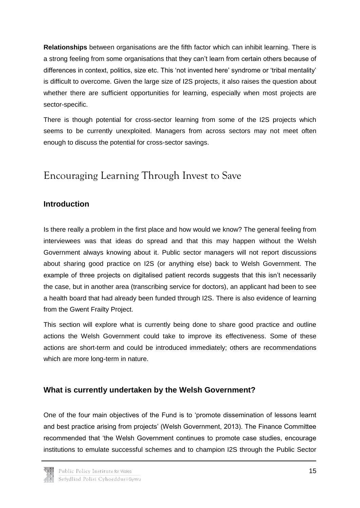**Relationships** between organisations are the fifth factor which can inhibit learning. There is a strong feeling from some organisations that they can't learn from certain others because of differences in context, politics, size etc. This 'not invented here' syndrome or 'tribal mentality' is difficult to overcome. Given the large size of I2S projects, it also raises the question about whether there are sufficient opportunities for learning, especially when most projects are sector-specific.

There is though potential for cross-sector learning from some of the I2S projects which seems to be currently unexploited. Managers from across sectors may not meet often enough to discuss the potential for cross-sector savings.

### <span id="page-15-0"></span>Encouraging Learning Through Invest to Save

#### <span id="page-15-1"></span>**Introduction**

Is there really a problem in the first place and how would we know? The general feeling from interviewees was that ideas do spread and that this may happen without the Welsh Government always knowing about it. Public sector managers will not report discussions about sharing good practice on I2S (or anything else) back to Welsh Government. The example of three projects on digitalised patient records suggests that this isn't necessarily the case, but in another area (transcribing service for doctors), an applicant had been to see a health board that had already been funded through I2S. There is also evidence of learning from the Gwent Frailty Project.

This section will explore what is currently being done to share good practice and outline actions the Welsh Government could take to improve its effectiveness. Some of these actions are short-term and could be introduced immediately; others are recommendations which are more long-term in nature.

#### <span id="page-15-2"></span>**What is currently undertaken by the Welsh Government?**

One of the four main objectives of the Fund is to 'promote dissemination of lessons learnt and best practice arising from projects' (Welsh Government, 2013). The Finance Committee recommended that 'the Welsh Government continues to promote case studies, encourage institutions to emulate successful schemes and to champion I2S through the Public Sector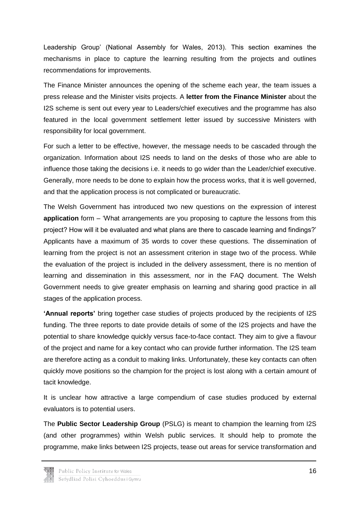Leadership Group' (National Assembly for Wales, 2013). This section examines the mechanisms in place to capture the learning resulting from the projects and outlines recommendations for improvements.

The Finance Minister announces the opening of the scheme each year, the team issues a press release and the Minister visits projects. A **letter from the Finance Minister** about the I2S scheme is sent out every year to Leaders/chief executives and the programme has also featured in the local government settlement letter issued by successive Ministers with responsibility for local government.

For such a letter to be effective, however, the message needs to be cascaded through the organization. Information about I2S needs to land on the desks of those who are able to influence those taking the decisions i.e. it needs to go wider than the Leader/chief executive. Generally, more needs to be done to explain how the process works, that it is well governed, and that the application process is not complicated or bureaucratic.

The Welsh Government has introduced two new questions on the expression of interest **application** form – 'What arrangements are you proposing to capture the lessons from this project? How will it be evaluated and what plans are there to cascade learning and findings?' Applicants have a maximum of 35 words to cover these questions. The dissemination of learning from the project is not an assessment criterion in stage two of the process. While the evaluation of the project is included in the delivery assessment, there is no mention of learning and dissemination in this assessment, nor in the FAQ document. The Welsh Government needs to give greater emphasis on learning and sharing good practice in all stages of the application process.

**'Annual reports'** bring together case studies of projects produced by the recipients of I2S funding. The three reports to date provide details of some of the I2S projects and have the potential to share knowledge quickly versus face-to-face contact. They aim to give a flavour of the project and name for a key contact who can provide further information. The I2S team are therefore acting as a conduit to making links. Unfortunately, these key contacts can often quickly move positions so the champion for the project is lost along with a certain amount of tacit knowledge.

It is unclear how attractive a large compendium of case studies produced by external evaluators is to potential users.

The **Public Sector Leadership Group** (PSLG) is meant to champion the learning from I2S (and other programmes) within Welsh public services. It should help to promote the programme, make links between I2S projects, tease out areas for service transformation and

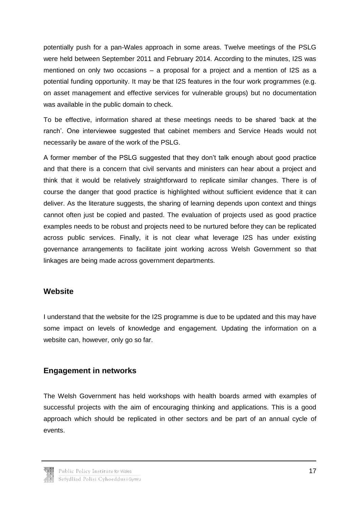potentially push for a pan-Wales approach in some areas. Twelve meetings of the PSLG were held between September 2011 and February 2014. According to the minutes, I2S was mentioned on only two occasions – a proposal for a project and a mention of I2S as a potential funding opportunity. It may be that I2S features in the four work programmes (e.g. on asset management and effective services for vulnerable groups) but no documentation was available in the public domain to check.

To be effective, information shared at these meetings needs to be shared 'back at the ranch'. One interviewee suggested that cabinet members and Service Heads would not necessarily be aware of the work of the PSLG.

A former member of the PSLG suggested that they don't talk enough about good practice and that there is a concern that civil servants and ministers can hear about a project and think that it would be relatively straightforward to replicate similar changes. There is of course the danger that good practice is highlighted without sufficient evidence that it can deliver. As the literature suggests, the sharing of learning depends upon context and things cannot often just be copied and pasted. The evaluation of projects used as good practice examples needs to be robust and projects need to be nurtured before they can be replicated across public services. Finally, it is not clear what leverage I2S has under existing governance arrangements to facilitate joint working across Welsh Government so that linkages are being made across government departments.

#### <span id="page-17-0"></span>**Website**

I understand that the website for the I2S programme is due to be updated and this may have some impact on levels of knowledge and engagement. Updating the information on a website can, however, only go so far.

#### <span id="page-17-1"></span>**Engagement in networks**

The Welsh Government has held workshops with health boards armed with examples of successful projects with the aim of encouraging thinking and applications. This is a good approach which should be replicated in other sectors and be part of an annual cycle of events.

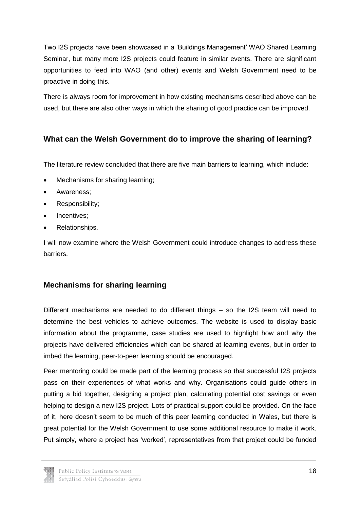Two I2S projects have been showcased in a 'Buildings Management' WAO Shared Learning Seminar, but many more I2S projects could feature in similar events. There are significant opportunities to feed into WAO (and other) events and Welsh Government need to be proactive in doing this.

There is always room for improvement in how existing mechanisms described above can be used, but there are also other ways in which the sharing of good practice can be improved.

#### <span id="page-18-0"></span>**What can the Welsh Government do to improve the sharing of learning?**

The literature review concluded that there are five main barriers to learning, which include:

- Mechanisms for sharing learning;
- Awareness:
- Responsibility;
- Incentives:
- Relationships.

I will now examine where the Welsh Government could introduce changes to address these barriers.

### <span id="page-18-1"></span>**Mechanisms for sharing learning**

Different mechanisms are needed to do different things – so the I2S team will need to determine the best vehicles to achieve outcomes. The website is used to display basic information about the programme, case studies are used to highlight how and why the projects have delivered efficiencies which can be shared at learning events, but in order to imbed the learning, peer-to-peer learning should be encouraged.

Peer mentoring could be made part of the learning process so that successful I2S projects pass on their experiences of what works and why. Organisations could guide others in putting a bid together, designing a project plan, calculating potential cost savings or even helping to design a new I2S project. Lots of practical support could be provided. On the face of it, here doesn't seem to be much of this peer learning conducted in Wales, but there is great potential for the Welsh Government to use some additional resource to make it work. Put simply, where a project has 'worked', representatives from that project could be funded

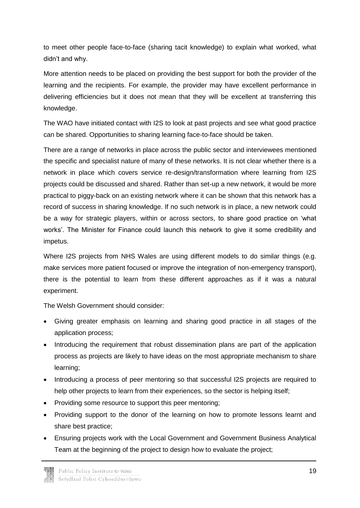to meet other people face-to-face (sharing tacit knowledge) to explain what worked, what didn't and why.

More attention needs to be placed on providing the best support for both the provider of the learning and the recipients. For example, the provider may have excellent performance in delivering efficiencies but it does not mean that they will be excellent at transferring this knowledge.

The WAO have initiated contact with I2S to look at past projects and see what good practice can be shared. Opportunities to sharing learning face-to-face should be taken.

There are a range of networks in place across the public sector and interviewees mentioned the specific and specialist nature of many of these networks. It is not clear whether there is a network in place which covers service re-design/transformation where learning from I2S projects could be discussed and shared. Rather than set-up a new network, it would be more practical to piggy-back on an existing network where it can be shown that this network has a record of success in sharing knowledge. If no such network is in place, a new network could be a way for strategic players, within or across sectors, to share good practice on 'what works'. The Minister for Finance could launch this network to give it some credibility and impetus.

Where I2S projects from NHS Wales are using different models to do similar things (e.g. make services more patient focused or improve the integration of non-emergency transport), there is the potential to learn from these different approaches as if it was a natural experiment.

The Welsh Government should consider:

- Giving greater emphasis on learning and sharing good practice in all stages of the application process;
- Introducing the requirement that robust dissemination plans are part of the application process as projects are likely to have ideas on the most appropriate mechanism to share learning;
- Introducing a process of peer mentoring so that successful I2S projects are required to help other projects to learn from their experiences, so the sector is helping itself;
- Providing some resource to support this peer mentoring;
- Providing support to the donor of the learning on how to promote lessons learnt and share best practice;
- Ensuring projects work with the Local Government and Government Business Analytical Team at the beginning of the project to design how to evaluate the project;

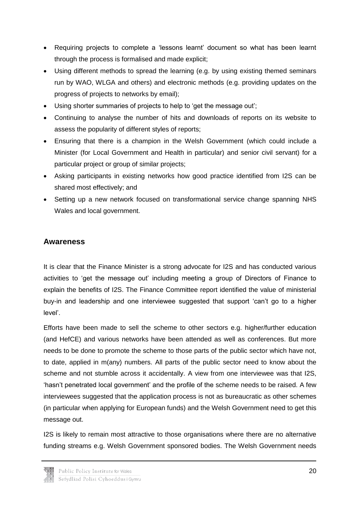- Requiring projects to complete a 'lessons learnt' document so what has been learnt through the process is formalised and made explicit;
- Using different methods to spread the learning (e.g. by using existing themed seminars run by WAO, WLGA and others) and electronic methods (e.g. providing updates on the progress of projects to networks by email);
- Using shorter summaries of projects to help to 'get the message out';
- Continuing to analyse the number of hits and downloads of reports on its website to assess the popularity of different styles of reports;
- Ensuring that there is a champion in the Welsh Government (which could include a Minister (for Local Government and Health in particular) and senior civil servant) for a particular project or group of similar projects;
- Asking participants in existing networks how good practice identified from I2S can be shared most effectively; and
- Setting up a new network focused on transformational service change spanning NHS Wales and local government.

#### <span id="page-20-0"></span>**Awareness**

It is clear that the Finance Minister is a strong advocate for I2S and has conducted various activities to 'get the message out' including meeting a group of Directors of Finance to explain the benefits of I2S. The Finance Committee report identified the value of ministerial buy-in and leadership and one interviewee suggested that support 'can't go to a higher level'.

Efforts have been made to sell the scheme to other sectors e.g. higher/further education (and HefCE) and various networks have been attended as well as conferences. But more needs to be done to promote the scheme to those parts of the public sector which have not, to date, applied in m(any) numbers. All parts of the public sector need to know about the scheme and not stumble across it accidentally. A view from one interviewee was that I2S, 'hasn't penetrated local government' and the profile of the scheme needs to be raised. A few interviewees suggested that the application process is not as bureaucratic as other schemes (in particular when applying for European funds) and the Welsh Government need to get this message out.

I2S is likely to remain most attractive to those organisations where there are no alternative funding streams e.g. Welsh Government sponsored bodies. The Welsh Government needs

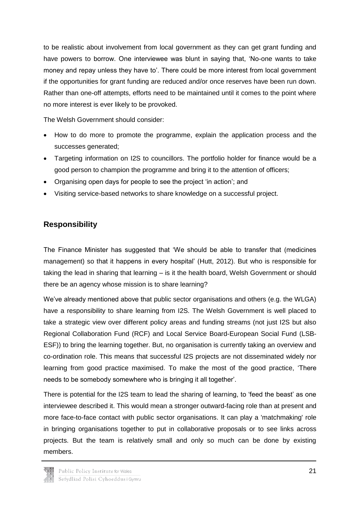to be realistic about involvement from local government as they can get grant funding and have powers to borrow. One interviewee was blunt in saying that, 'No-one wants to take money and repay unless they have to'. There could be more interest from local government if the opportunities for grant funding are reduced and/or once reserves have been run down. Rather than one-off attempts, efforts need to be maintained until it comes to the point where no more interest is ever likely to be provoked.

The Welsh Government should consider:

- How to do more to promote the programme, explain the application process and the successes generated;
- Targeting information on I2S to councillors. The portfolio holder for finance would be a good person to champion the programme and bring it to the attention of officers;
- Organising open days for people to see the project 'in action'; and
- Visiting service-based networks to share knowledge on a successful project.

#### <span id="page-21-0"></span>**Responsibility**

The Finance Minister has suggested that 'We should be able to transfer that (medicines management) so that it happens in every hospital' (Hutt, 2012). But who is responsible for taking the lead in sharing that learning – is it the health board, Welsh Government or should there be an agency whose mission is to share learning?

We've already mentioned above that public sector organisations and others (e.g. the WLGA) have a responsibility to share learning from I2S. The Welsh Government is well placed to take a strategic view over different policy areas and funding streams (not just I2S but also Regional Collaboration Fund (RCF) and Local Service Board-European Social Fund (LSB-ESF)) to bring the learning together. But, no organisation is currently taking an overview and co-ordination role. This means that successful I2S projects are not disseminated widely nor learning from good practice maximised. To make the most of the good practice, 'There needs to be somebody somewhere who is bringing it all together'.

There is potential for the I2S team to lead the sharing of learning, to 'feed the beast' as one interviewee described it. This would mean a stronger outward-facing role than at present and more face-to-face contact with public sector organisations. It can play a 'matchmaking' role in bringing organisations together to put in collaborative proposals or to see links across projects. But the team is relatively small and only so much can be done by existing members.

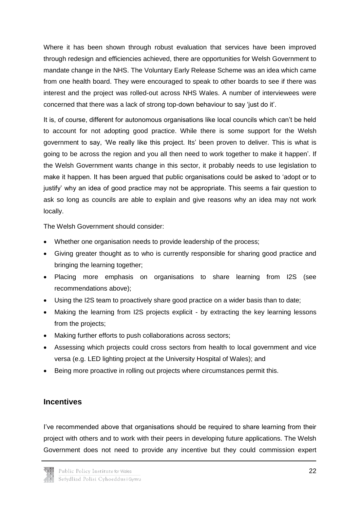Where it has been shown through robust evaluation that services have been improved through redesign and efficiencies achieved, there are opportunities for Welsh Government to mandate change in the NHS. The Voluntary Early Release Scheme was an idea which came from one health board. They were encouraged to speak to other boards to see if there was interest and the project was rolled-out across NHS Wales. A number of interviewees were concerned that there was a lack of strong top-down behaviour to say 'just do it'.

It is, of course, different for autonomous organisations like local councils which can't be held to account for not adopting good practice. While there is some support for the Welsh government to say, 'We really like this project. Its' been proven to deliver. This is what is going to be across the region and you all then need to work together to make it happen'. If the Welsh Government wants change in this sector, it probably needs to use legislation to make it happen. It has been argued that public organisations could be asked to 'adopt or to justify' why an idea of good practice may not be appropriate. This seems a fair question to ask so long as councils are able to explain and give reasons why an idea may not work locally.

The Welsh Government should consider:

- Whether one organisation needs to provide leadership of the process;
- Giving greater thought as to who is currently responsible for sharing good practice and bringing the learning together;
- Placing more emphasis on organisations to share learning from I2S (see recommendations above);
- Using the I2S team to proactively share good practice on a wider basis than to date;
- Making the learning from I2S projects explicit by extracting the key learning lessons from the projects;
- Making further efforts to push collaborations across sectors;
- Assessing which projects could cross sectors from health to local government and vice versa (e.g. LED lighting project at the University Hospital of Wales); and
- Being more proactive in rolling out projects where circumstances permit this.

#### <span id="page-22-0"></span>**Incentives**

I've recommended above that organisations should be required to share learning from their project with others and to work with their peers in developing future applications. The Welsh Government does not need to provide any incentive but they could commission expert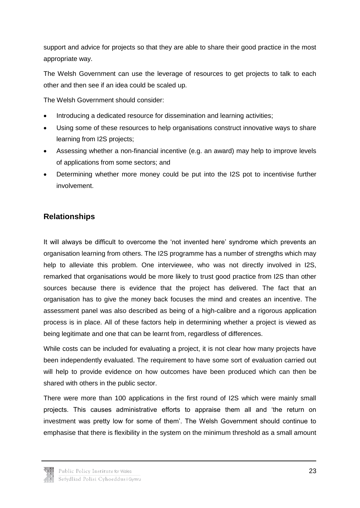support and advice for projects so that they are able to share their good practice in the most appropriate way.

The Welsh Government can use the leverage of resources to get projects to talk to each other and then see if an idea could be scaled up.

The Welsh Government should consider:

- Introducing a dedicated resource for dissemination and learning activities;
- Using some of these resources to help organisations construct innovative ways to share learning from I2S projects;
- Assessing whether a non-financial incentive (e.g. an award) may help to improve levels of applications from some sectors; and
- Determining whether more money could be put into the I2S pot to incentivise further involvement.

#### <span id="page-23-0"></span>**Relationships**

It will always be difficult to overcome the 'not invented here' syndrome which prevents an organisation learning from others. The I2S programme has a number of strengths which may help to alleviate this problem. One interviewee, who was not directly involved in I2S, remarked that organisations would be more likely to trust good practice from I2S than other sources because there is evidence that the project has delivered. The fact that an organisation has to give the money back focuses the mind and creates an incentive. The assessment panel was also described as being of a high-calibre and a rigorous application process is in place. All of these factors help in determining whether a project is viewed as being legitimate and one that can be learnt from, regardless of differences.

While costs can be included for evaluating a project, it is not clear how many projects have been independently evaluated. The requirement to have some sort of evaluation carried out will help to provide evidence on how outcomes have been produced which can then be shared with others in the public sector.

There were more than 100 applications in the first round of I2S which were mainly small projects. This causes administrative efforts to appraise them all and 'the return on investment was pretty low for some of them'. The Welsh Government should continue to emphasise that there is flexibility in the system on the minimum threshold as a small amount

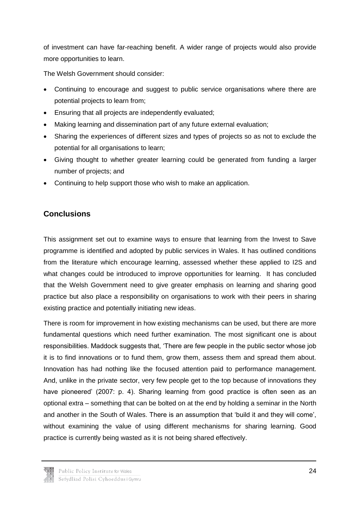of investment can have far-reaching benefit. A wider range of projects would also provide more opportunities to learn.

The Welsh Government should consider:

- Continuing to encourage and suggest to public service organisations where there are potential projects to learn from;
- Ensuring that all projects are independently evaluated;
- Making learning and dissemination part of any future external evaluation;
- Sharing the experiences of different sizes and types of projects so as not to exclude the potential for all organisations to learn;
- Giving thought to whether greater learning could be generated from funding a larger number of projects; and
- Continuing to help support those who wish to make an application.

#### <span id="page-24-0"></span>**Conclusions**

This assignment set out to examine ways to ensure that learning from the Invest to Save programme is identified and adopted by public services in Wales. It has outlined conditions from the literature which encourage learning, assessed whether these applied to I2S and what changes could be introduced to improve opportunities for learning. It has concluded that the Welsh Government need to give greater emphasis on learning and sharing good practice but also place a responsibility on organisations to work with their peers in sharing existing practice and potentially initiating new ideas.

There is room for improvement in how existing mechanisms can be used, but there are more fundamental questions which need further examination. The most significant one is about responsibilities. Maddock suggests that, 'There are few people in the public sector whose job it is to find innovations or to fund them, grow them, assess them and spread them about. Innovation has had nothing like the focused attention paid to performance management. And, unlike in the private sector, very few people get to the top because of innovations they have pioneered' (2007: p. 4). Sharing learning from good practice is often seen as an optional extra – something that can be bolted on at the end by holding a seminar in the North and another in the South of Wales. There is an assumption that 'build it and they will come', without examining the value of using different mechanisms for sharing learning. Good practice is currently being wasted as it is not being shared effectively.

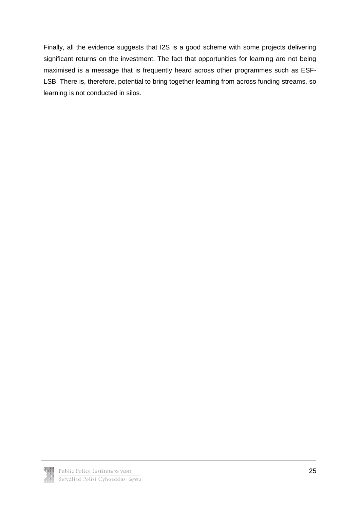Finally, all the evidence suggests that I2S is a good scheme with some projects delivering significant returns on the investment. The fact that opportunities for learning are not being maximised is a message that is frequently heard across other programmes such as ESF-LSB. There is, therefore, potential to bring together learning from across funding streams, so learning is not conducted in silos.

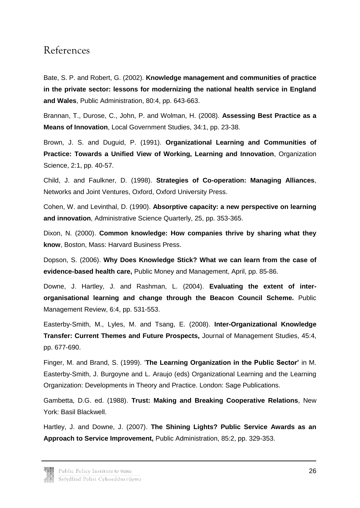### <span id="page-26-0"></span>References

Bate, S. P. and Robert, G. (2002). **Knowledge management and communities of practice in the private sector: lessons for modernizing the national health service in England and Wales**, Public Administration, 80:4, pp. 643-663.

Brannan, T., Durose, C., John, P. and Wolman, H. (2008). **Assessing Best Practice as a Means of Innovation**, Local Government Studies, 34:1, pp. 23-38.

Brown, J. S. and Duguid, P. (1991). **Organizational Learning and Communities of Practice: Towards a Unified View of Working, Learning and Innovation**, Organization Science, 2:1, pp. 40-57.

Child, J. and Faulkner, D. (1998). **Strategies of Co-operation: Managing Alliances**, Networks and Joint Ventures, Oxford, Oxford University Press.

Cohen, W. and Levinthal, D. (1990). **Absorptive capacity: a new perspective on learning and innovation**, Administrative Science Quarterly, 25, pp. 353-365.

Dixon, N. (2000). **Common knowledge: How companies thrive by sharing what they know**, Boston, Mass: Harvard Business Press.

Dopson, S. (2006). **Why Does Knowledge Stick? What we can learn from the case of evidence-based health care,** Public Money and Management, April, pp. 85-86.

Downe, J. Hartley, J. and Rashman, L. (2004). **Evaluating the extent of interorganisational learning and change through the Beacon Council Scheme.** Public Management Review, 6:4, pp. 531-553.

Easterby-Smith, M., Lyles, M. and Tsang, E. (2008). **Inter-Organizational Knowledge Transfer: Current Themes and Future Prospects,** Journal of Management Studies, 45:4, pp. 677-690.

Finger, M. and Brand, S. (1999). '**The Learning Organization in the Public Sector'** in M. Easterby-Smith, J. Burgoyne and L. Araujo (eds) Organizational Learning and the Learning Organization: Developments in Theory and Practice. London: Sage Publications.

Gambetta, D.G. ed. (1988). **Trust: Making and Breaking Cooperative Relations**, New York: Basil Blackwell.

Hartley, J. and Downe, J. (2007). **The Shining Lights? Public Service Awards as an Approach to Service Improvement,** Public Administration, 85:2, pp. 329-353.

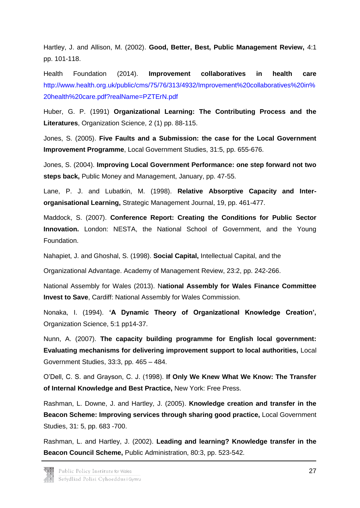Hartley, J. and Allison, M. (2002). **Good, Better, Best, Public Management Review,** 4:1 pp. 101-118.

Health Foundation (2014). **Improvement collaboratives in health care** [http://www.health.org.uk/public/cms/75/76/313/4932/Improvement%20collaboratives%20in%](http://www.health.org.uk/public/cms/75/76/313/4932/Improvement%20collaboratives%20in%20health%20care.pdf?realName=PZTErN.pdf) [20health%20care.pdf?realName=PZTErN.pdf](http://www.health.org.uk/public/cms/75/76/313/4932/Improvement%20collaboratives%20in%20health%20care.pdf?realName=PZTErN.pdf)

Huber, G. P. (1991) **Organizational Learning: The Contributing Process and the Literatures**, Organization Science, 2 (1) pp. 88-115.

Jones, S. (2005). **Five Faults and a Submission: the case for the Local Government Improvement Programme**, Local Government Studies, 31:5, pp. 655-676.

Jones, S. (2004). **Improving Local Government Performance: one step forward not two steps back,** Public Money and Management, January, pp. 47-55.

Lane, P. J. and Lubatkin, M. (1998). **Relative Absorptive Capacity and Interorganisational Learning,** Strategic Management Journal, 19, pp. 461-477.

Maddock, S. (2007). **Conference Report: Creating the Conditions for Public Sector Innovation.** London: NESTA, the National School of Government, and the Young Foundation.

Nahapiet, J. and Ghoshal, S. (1998). **Social Capital,** Intellectual Capital, and the

Organizational Advantage. Academy of Management Review, 23:2, pp. 242-266.

National Assembly for Wales (2013). N**ational Assembly for Wales Finance Committee Invest to Save**, Cardiff: National Assembly for Wales Commission.

Nonaka, I. (1994). **'A Dynamic Theory of Organizational Knowledge Creation',** Organization Science, 5:1 pp14-37.

Nunn, A. (2007). **The capacity building programme for English local government: Evaluating mechanisms for delivering improvement support to local authorities,** Local Government Studies, 33:3, pp. 465 – 484.

O'Dell, C. S. and Grayson, C. J. (1998). **If Only We Knew What We Know: The Transfer of Internal Knowledge and Best Practice,** New York: Free Press.

Rashman, L. Downe, J. and Hartley, J. (2005). **Knowledge creation and transfer in the Beacon Scheme: Improving services through sharing good practice,** Local Government Studies, 31: 5, pp. 683 -700.

Rashman, L. and Hartley, J. (2002). **Leading and learning? Knowledge transfer in the Beacon Council Scheme,** Public Administration, 80:3, pp. 523-542.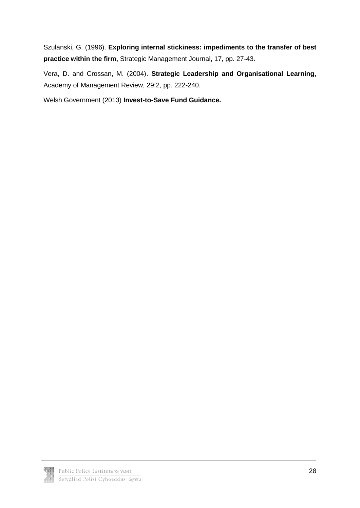Szulanski, G. (1996). **Exploring internal stickiness: impediments to the transfer of best practice within the firm,** Strategic Management Journal, 17, pp. 27-43.

Vera, D. and Crossan, M. (2004). **Strategic Leadership and Organisational Learning,** Academy of Management Review, 29:2, pp. 222-240.

Welsh Government (2013) **Invest-to-Save Fund Guidance.**